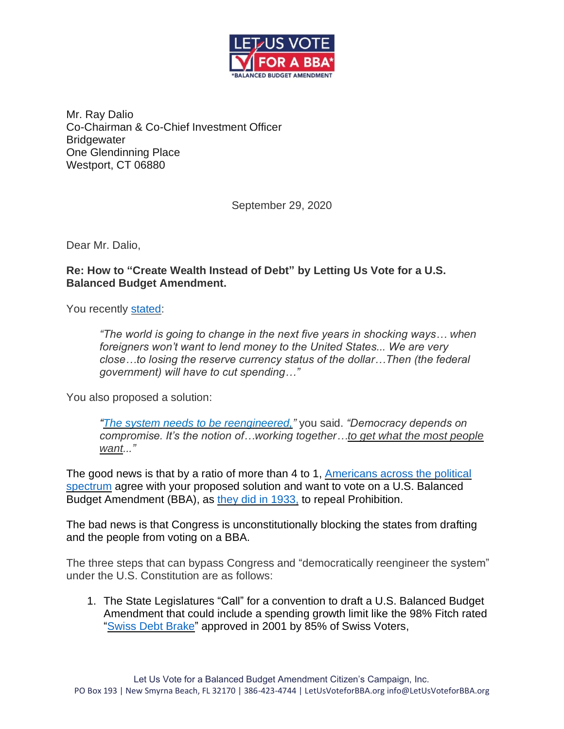

Mr. Ray Dalio Co-Chairman & Co-Chief Investment Officer **Bridgewater** One Glendinning Place Westport, CT 06880

September 29, 2020

Dear Mr. Dalio,

## **Re: How to "Create Wealth Instead of Debt" by Letting Us Vote for a U.S. Balanced Budget Amendment.**

You recently [stated:](https://www.marketwatch.com/amp/story/billionaire-investor-ray-dalio-on-capitalisms-crisis-the-world-is-going-to-change-in-shocking-ways-in-the-next-five-years-2020-09-17)

*"The world is going to change in the next five years in shocking ways… when foreigners won't want to lend money to the United States... We are very close…to losing the reserve currency status of the dollar…Then (the federal government) will have to cut spending…"*

You also proposed a solution:

*"The system needs to be [reengineered,](https://www.marketwatch.com/story/the-next-financial-crisis-will-threaten-capitalism-and-democracy-ray-dalio-warns-2018-09-13?mod=article_inline)"* you said. *"Democracy depends on compromise. It's the notion of…working together…to get what the most people want..."*

The good news is that by a ratio of more than 4 to 1, Americans across the political [spectrum](https://letusvoteforbba.org/bba-poll-results/) agree with your proposed solution and want to vote on a U.S. Balanced Budget Amendment (BBA), as [they did in 1933,](https://letusvoteforbba.org/app/uploads/2019/08/Summary-of-the-Ratification-of-the-Twenty-first-Amendment-1.pdf) to repeal Prohibition.

The bad news is that Congress is unconstitutionally blocking the states from drafting and the people from voting on a BBA.

The three steps that can bypass Congress and "democratically reengineer the system" under the U.S. Constitution are as follows:

1. The State Legislatures "Call" for a convention to draft a U.S. Balanced Budget Amendment that could include a spending growth limit like the 98% Fitch rated ["Swiss Debt](https://www.fitchratings.com/research/sovereigns/fitch-affirms-switzerland-at-aaa-outlook-stable-03-07-2020) Brake" approved in 2001 by 85% of Swiss Voters,